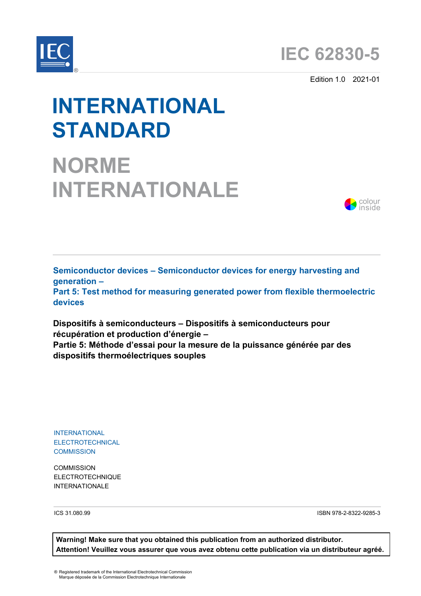

Edition 1.0 2021-01

# **INTERNATIONAL STANDARD**

## **NORME INTERNATIONALE**



**Semiconductor devices – Semiconductor devices for energy harvesting and generation – Part 5: Test method for measuring generated power from flexible thermoelectric** 

**devices** 

**Dispositifs à semiconducteurs – Dispositifs à semiconducteurs pour récupération et production d'énergie – Partie 5: Méthode d'essai pour la mesure de la puissance générée par des dispositifs thermoélectriques souples**

INTERNATIONAL ELECTROTECHNICAL **COMMISSION** 

**COMMISSION** ELECTROTECHNIQUE INTERNATIONALE

ICS 31.080.99 ISBN 978-2-8322-9285-3

**Warning! Make sure that you obtained this publication from an authorized distributor. Attention! Veuillez vous assurer que vous avez obtenu cette publication via un distributeur agréé.**

® Registered trademark of the International Electrotechnical Commission Marque déposée de la Commission Electrotechnique Internationale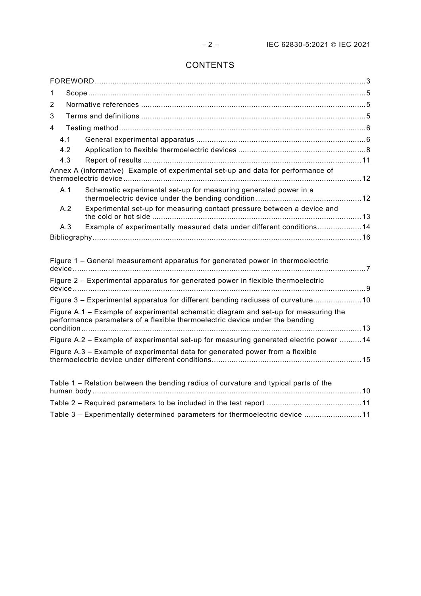## **CONTENTS**

| 1              |                                                                                                                                                                     |  |
|----------------|---------------------------------------------------------------------------------------------------------------------------------------------------------------------|--|
| $\overline{2}$ |                                                                                                                                                                     |  |
| 3              |                                                                                                                                                                     |  |
| 4              |                                                                                                                                                                     |  |
| 4.1            |                                                                                                                                                                     |  |
| 4.2            |                                                                                                                                                                     |  |
| 4.3            |                                                                                                                                                                     |  |
|                | Annex A (informative) Example of experimental set-up and data for performance of                                                                                    |  |
| A.1            | Schematic experimental set-up for measuring generated power in a                                                                                                    |  |
| A.2            | Experimental set-up for measuring contact pressure between a device and                                                                                             |  |
| A.3            | Example of experimentally measured data under different conditions 14                                                                                               |  |
|                |                                                                                                                                                                     |  |
|                | Figure 1 - General measurement apparatus for generated power in thermoelectric                                                                                      |  |
|                | Figure 2 - Experimental apparatus for generated power in flexible thermoelectric                                                                                    |  |
|                | Figure 3 - Experimental apparatus for different bending radiuses of curvature10                                                                                     |  |
|                | Figure A.1 – Example of experimental schematic diagram and set-up for measuring the<br>performance parameters of a flexible thermoelectric device under the bending |  |
|                |                                                                                                                                                                     |  |
|                | Figure A.2 - Example of experimental set-up for measuring generated electric power 14                                                                               |  |
|                | Figure A.3 - Example of experimental data for generated power from a flexible                                                                                       |  |
|                | Table 1 - Relation between the bending radius of curvature and typical parts of the                                                                                 |  |
|                |                                                                                                                                                                     |  |
|                | Table 3 - Experimentally determined parameters for thermoelectric device 11                                                                                         |  |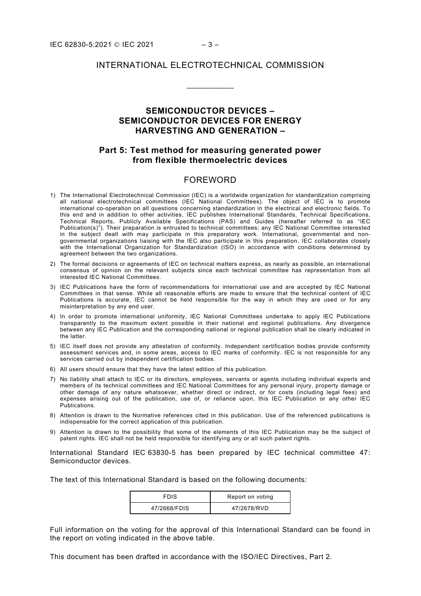#### INTERNATIONAL ELECTROTECHNICAL COMMISSION

\_\_\_\_\_\_\_\_\_\_\_\_

## **SEMICONDUCTOR DEVICES – SEMICONDUCTOR DEVICES FOR ENERGY HARVESTING AND GENERATION –**

## **Part 5: Test method for measuring generated power from flexible thermoelectric devices**

#### FOREWORD

- <span id="page-2-0"></span>1) The International Electrotechnical Commission (IEC) is a worldwide organization for standardization comprising all national electrotechnical committees (IEC National Committees). The object of IEC is to promote international co-operation on all questions concerning standardization in the electrical and electronic fields. To this end and in addition to other activities, IEC publishes International Standards, Technical Specifications, Technical Reports, Publicly Available Specifications (PAS) and Guides (hereafter referred to as "IEC Publication(s)"). Their preparation is entrusted to technical committees; any IEC National Committee interested in the subject dealt with may participate in this preparatory work. International, governmental and nongovernmental organizations liaising with the IEC also participate in this preparation. IEC collaborates closely with the International Organization for Standardization (ISO) in accordance with conditions determined by agreement between the two organizations.
- 2) The formal decisions or agreements of IEC on technical matters express, as nearly as possible, an international consensus of opinion on the relevant subjects since each technical committee has representation from all interested IEC National Committees.
- 3) IEC Publications have the form of recommendations for international use and are accepted by IEC National Committees in that sense. While all reasonable efforts are made to ensure that the technical content of IEC Publications is accurate, IEC cannot be held responsible for the way in which they are used or for any misinterpretation by any end user.
- 4) In order to promote international uniformity, IEC National Committees undertake to apply IEC Publications transparently to the maximum extent possible in their national and regional publications. Any divergence between any IEC Publication and the corresponding national or regional publication shall be clearly indicated in the latter.
- 5) IEC itself does not provide any attestation of conformity. Independent certification bodies provide conformity assessment services and, in some areas, access to IEC marks of conformity. IEC is not responsible for any services carried out by independent certification bodies.
- 6) All users should ensure that they have the latest edition of this publication.
- 7) No liability shall attach to IEC or its directors, employees, servants or agents including individual experts and members of its technical committees and IEC National Committees for any personal injury, property damage or other damage of any nature whatsoever, whether direct or indirect, or for costs (including legal fees) and expenses arising out of the publication, use of, or reliance upon, this IEC Publication or any other IEC Publications.
- 8) Attention is drawn to the Normative references cited in this publication. Use of the referenced publications is indispensable for the correct application of this publication.
- 9) Attention is drawn to the possibility that some of the elements of this IEC Publication may be the subject of patent rights. IEC shall not be held responsible for identifying any or all such patent rights.

International Standard IEC 63830-5 has been prepared by IEC technical committee 47: Semiconductor devices.

The text of this International Standard is based on the following documents:

| <b>FDIS</b>  | Report on voting |
|--------------|------------------|
| 47/2668/FDIS | 47/2678/RVD      |

Full information on the voting for the approval of this International Standard can be found in the report on voting indicated in the above table.

This document has been drafted in accordance with the ISO/IEC Directives, Part 2.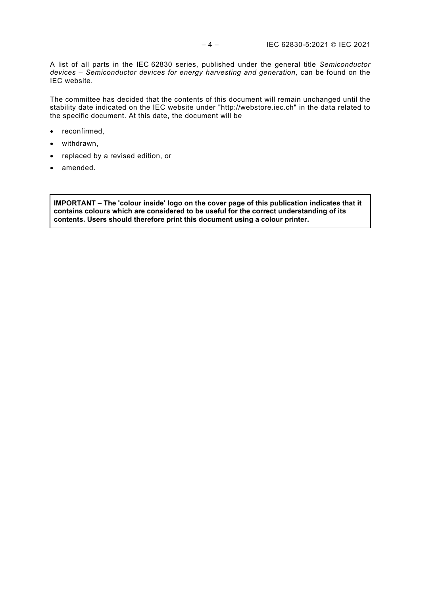A list of all parts in the IEC 62830 series, published under the general title *Semiconductor devices – Semiconductor devices for energy harvesting and generation*, can be found on the IEC website.

The committee has decided that the contents of this document will remain unchanged until the stability date indicated on the IEC website under "http://webstore.iec.ch" in the data related to the specific document. At this date, the document will be

- reconfirmed,
- withdrawn,
- replaced by a revised edition, or
- amended.

**IMPORTANT – The 'colour inside' logo on the cover page of this publication indicates that it contains colours which are considered to be useful for the correct understanding of its contents. Users should therefore print this document using a colour printer.**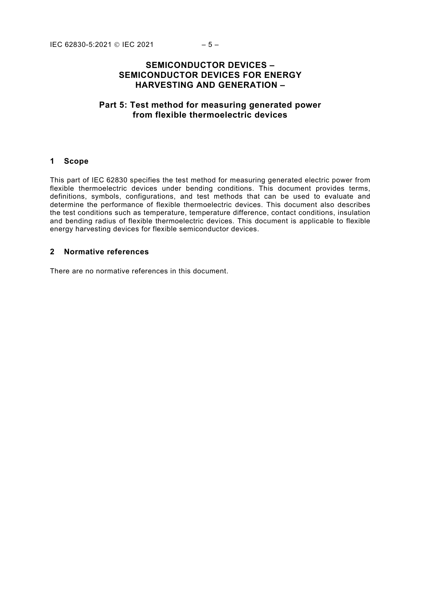## **SEMICONDUCTOR DEVICES – SEMICONDUCTOR DEVICES FOR ENERGY HARVESTING AND GENERATION –**

## **Part 5: Test method for measuring generated power from flexible thermoelectric devices**

#### <span id="page-4-0"></span>**1 Scope**

This part of IEC 62830 specifies the test method for measuring generated electric power from flexible thermoelectric devices under bending conditions. This document provides terms, definitions, symbols, configurations, and test methods that can be used to evaluate and determine the performance of flexible thermoelectric devices. This document also describes the test conditions such as temperature, temperature difference, contact conditions, insulation and bending radius of flexible thermoelectric devices. This document is applicable to flexible energy harvesting devices for flexible semiconductor devices.

#### <span id="page-4-1"></span>**2 Normative references**

<span id="page-4-2"></span>There are no normative references in this document.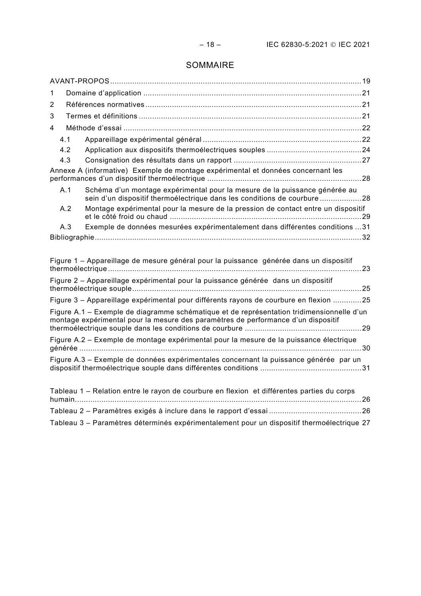## SOMMAIRE

| 1                                                                                                                                                                              |                                                                                        |                                                                                                                                                        |  |  |  |
|--------------------------------------------------------------------------------------------------------------------------------------------------------------------------------|----------------------------------------------------------------------------------------|--------------------------------------------------------------------------------------------------------------------------------------------------------|--|--|--|
| 2                                                                                                                                                                              |                                                                                        |                                                                                                                                                        |  |  |  |
| 3                                                                                                                                                                              |                                                                                        |                                                                                                                                                        |  |  |  |
| 4                                                                                                                                                                              |                                                                                        |                                                                                                                                                        |  |  |  |
|                                                                                                                                                                                | 4.1                                                                                    |                                                                                                                                                        |  |  |  |
|                                                                                                                                                                                | 4.2                                                                                    |                                                                                                                                                        |  |  |  |
|                                                                                                                                                                                | 4.3                                                                                    |                                                                                                                                                        |  |  |  |
|                                                                                                                                                                                | Annexe A (informative) Exemple de montage expérimental et données concernant les       |                                                                                                                                                        |  |  |  |
|                                                                                                                                                                                | A.1                                                                                    | Schéma d'un montage expérimental pour la mesure de la puissance générée au<br>sein d'un dispositif thermoélectrique dans les conditions de courbure 28 |  |  |  |
|                                                                                                                                                                                | A.2                                                                                    | Montage expérimental pour la mesure de la pression de contact entre un dispositif                                                                      |  |  |  |
|                                                                                                                                                                                | A.3                                                                                    | Exemple de données mesurées expérimentalement dans différentes conditions 31                                                                           |  |  |  |
|                                                                                                                                                                                |                                                                                        |                                                                                                                                                        |  |  |  |
|                                                                                                                                                                                |                                                                                        | Figure 1 - Appareillage de mesure général pour la puissance générée dans un dispositif                                                                 |  |  |  |
|                                                                                                                                                                                |                                                                                        | Figure 2 – Appareillage expérimental pour la puissance générée dans un dispositif                                                                      |  |  |  |
|                                                                                                                                                                                |                                                                                        | Figure 3 - Appareillage expérimental pour différents rayons de courbure en flexion 25                                                                  |  |  |  |
| Figure A.1 – Exemple de diagramme schématique et de représentation tridimensionnelle d'un<br>montage expérimental pour la mesure des paramètres de performance d'un dispositif |                                                                                        |                                                                                                                                                        |  |  |  |
|                                                                                                                                                                                | Figure A.2 - Exemple de montage expérimental pour la mesure de la puissance électrique |                                                                                                                                                        |  |  |  |
|                                                                                                                                                                                | Figure A.3 - Exemple de données expérimentales concernant la puissance générée par un  |                                                                                                                                                        |  |  |  |
|                                                                                                                                                                                |                                                                                        | Tableau 1 - Relation entre le rayon de courbure en flexion et différentes parties du corps                                                             |  |  |  |
|                                                                                                                                                                                |                                                                                        |                                                                                                                                                        |  |  |  |

Tableau 3 – Paramètres déterminés expérimentalement pour un dispositif thermoélectrique 27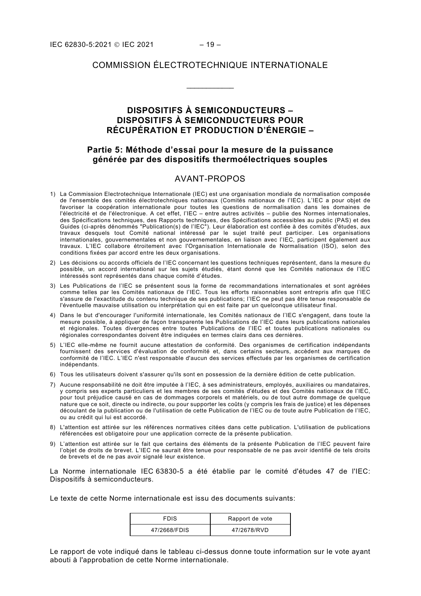#### COMMISSION ÉLECTROTECHNIQUE INTERNATIONALE

\_\_\_\_\_\_\_\_\_\_\_\_

## **DISPOSITIFS À SEMICONDUCTEURS – DISPOSITIFS À SEMICONDUCTEURS POUR RÉCUPÉRATION ET PRODUCTION D'ÉNERGIE –**

#### **Partie 5: Méthode d'essai pour la mesure de la puissance générée par des dispositifs thermoélectriques souples**

### AVANT-PROPOS

- <span id="page-6-0"></span>1) La Commission Electrotechnique Internationale (IEC) est une organisation mondiale de normalisation composée de l'ensemble des comités électrotechniques nationaux (Comités nationaux de l'IEC). L'IEC a pour objet de favoriser la coopération internationale pour toutes les questions de normalisation dans les domaines de l'électricité et de l'électronique. A cet effet, l'IEC – entre autres activités – publie des Normes internationales, des Spécifications techniques, des Rapports techniques, des Spécifications accessibles au public (PAS) et des Guides (ci-après dénommés "Publication(s) de l'IEC"). Leur élaboration est confiée à des comités d'études, aux travaux desquels tout Comité national intéressé par le sujet traité peut participer. Les organisations internationales, gouvernementales et non gouvernementales, en liaison avec l'IEC, participent également aux travaux. L'IEC collabore étroitement avec l'Organisation Internationale de Normalisation (ISO), selon des conditions fixées par accord entre les deux organisations.
- 2) Les décisions ou accords officiels de l'IEC concernant les questions techniques représentent, dans la mesure du possible, un accord international sur les sujets étudiés, étant donné que les Comités nationaux de l'IEC intéressés sont représentés dans chaque comité d'études.
- 3) Les Publications de l'IEC se présentent sous la forme de recommandations internationales et sont agréées comme telles par les Comités nationaux de l'IEC. Tous les efforts raisonnables sont entrepris afin que l'IEC s'assure de l'exactitude du contenu technique de ses publications; l'IEC ne peut pas être tenue responsable de l'éventuelle mauvaise utilisation ou interprétation qui en est faite par un quelconque utilisateur final.
- 4) Dans le but d'encourager l'uniformité internationale, les Comités nationaux de l'IEC s'engagent, dans toute la mesure possible, à appliquer de façon transparente les Publications de l'IEC dans leurs publications nationales et régionales. Toutes divergences entre toutes Publications de l'IEC et toutes publications nationales ou régionales correspondantes doivent être indiquées en termes clairs dans ces dernières.
- 5) L'IEC elle-même ne fournit aucune attestation de conformité. Des organismes de certification indépendants fournissent des services d'évaluation de conformité et, dans certains secteurs, accèdent aux marques de conformité de l'IEC. L'IEC n'est responsable d'aucun des services effectués par les organismes de certification indépendants.
- 6) Tous les utilisateurs doivent s'assurer qu'ils sont en possession de la dernière édition de cette publication.
- 7) Aucune responsabilité ne doit être imputée à l'IEC, à ses administrateurs, employés, auxiliaires ou mandataires, y compris ses experts particuliers et les membres de ses comités d'études et des Comités nationaux de l'IEC, pour tout préjudice causé en cas de dommages corporels et matériels, ou de tout autre dommage de quelque nature que ce soit, directe ou indirecte, ou pour supporter les coûts (y compris les frais de justice) et les dépenses découlant de la publication ou de l'utilisation de cette Publication de l'IEC ou de toute autre Publication de l'IEC, ou au crédit qui lui est accordé.
- 8) L'attention est attirée sur les références normatives citées dans cette publication. L'utilisation de publications référencées est obligatoire pour une application correcte de la présente publication.
- 9) L'attention est attirée sur le fait que certains des éléments de la présente Publication de l'IEC peuvent faire l'objet de droits de brevet. L'IEC ne saurait être tenue pour responsable de ne pas avoir identifié de tels droits de brevets et de ne pas avoir signalé leur existence.

La Norme internationale IEC 63830-5 a été établie par le comité d'études 47 de l'IEC: Dispositifs à semiconducteurs.

Le texte de cette Norme internationale est issu des documents suivants:

| <b>FDIS</b>  | Rapport de vote |
|--------------|-----------------|
| 47/2668/FDIS | 47/2678/RVD     |

Le rapport de vote indiqué dans le tableau ci-dessus donne toute information sur le vote ayant abouti à l'approbation de cette Norme internationale.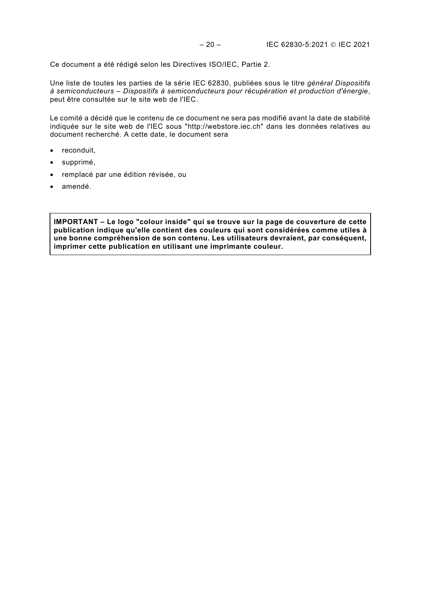Ce document a été rédigé selon les Directives ISO/IEC, Partie 2.

Une liste de toutes les parties de la série IEC 62830, publiées sous le titre *général Dispositifs à semiconducteurs* – *Dispositifs à semiconducteurs pour récupération et production d'énergie*, peut être consultée sur le site web de l'IEC.

Le comité a décidé que le contenu de ce document ne sera pas modifié avant la date de stabilité indiquée sur le site web de l'IEC sous "http://webstore.iec.ch" dans les données relatives au document recherché. A cette date, le document sera

- reconduit,
- supprimé,
- remplacé par une édition révisée, ou
- amendé.

**IMPORTANT – Le logo "colour inside" qui se trouve sur la page de couverture de cette publication indique qu'elle contient des couleurs qui sont considérées comme utiles à une bonne compréhension de son contenu. Les utilisateurs devraient, par conséquent, imprimer cette publication en utilisant une imprimante couleur.**